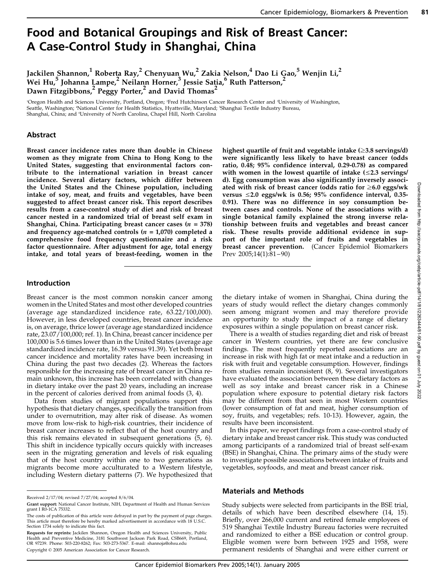# Food and Botanical Groupings and Risk of Breast Cancer: A Case-Control Study in Shanghai, China

Jackilen Shannon, $^1$  Roberta Ray, $^2$  Chenyuan Wu, $^2$  Zakia Nelson, $^4$  Dao Li Gao, $^5$  Wenjin Li, $^2$ Wei Hu, $^5$  Johanna Lampe, $^2$  Neilann Horner, $^3$  Jessie Satia, $^6$  Ruth Patterson, $^2$ Dawn Fitzgibbons,<sup>2</sup> Peggy Porter,<sup>2</sup> and David Thomas<sup>2</sup>

'Oregon Health and Sciences University, Portland, Oregon; <sup>2</sup>Fred Hutchinson Cancer Research Center and <sup>3</sup>University of Washington, Seattle, Washington; 'National Center for Health Statistics, Hyattsville, Maryland; 'Shanghai Textile Industry Bureau, Shanghai, China; and 'University of North Carolina, Chapel Hill, North Carolina

# Abstract

Breast cancer incidence rates more than double in Chinese women as they migrate from China to Hong Kong to the United States, suggesting that environmental factors contribute to the international variation in breast cancer incidence. Several dietary factors, which differ between the United States and the Chinese population, including intake of soy, meat, and fruits and vegetables, have been suggested to affect breast cancer risk. This report describes results from a case-control study of diet and risk of breast cancer nested in a randomized trial of breast self exam in Shanghai, China. Participating breast cancer cases  $(n = 378)$ and frequency age-matched controls ( $n = 1,070$ ) completed a comprehensive food frequency questionnaire and a risk factor questionnaire. After adjustment for age, total energy intake, and total years of breast-feeding, women in the

highest quartile of fruit and vegetable intake  $(\geq 3.8 \text{ servings/d})$ were significantly less likely to have breast cancer (odds ratio, 0.48; 95% confidence interval, 0.29-0.78) as compared with women in the lowest quartile of intake  $(\leq 2.3$  servings/ d). Egg consumption was also significantly inversely associated with risk of breast cancer (odds ratio for  $\geq 6.0$  eggs/wk versus  $\leq 2.0$  eggs/wk is 0.56; 95% confidence interval, 0.35-0.91). There was no difference in soy consumption between cases and controls. None of the associations with a single botanical family explained the strong inverse relationship between fruits and vegetables and breast cancer risk. These results provide additional evidence in support of the important role of fruits and vegetables in breast cancer prevention. (Cancer Epidemiol Biomarkers Prev 2005;14(1):81–90)

## Introduction

Breast cancer is the most common nonskin cancer among women in the United States and most other developed countries (average age standardized incidence rate, 63.22/100,000). However, in less developed countries, breast cancer incidence is, on average, thrice lower (average age standardized incidence rate, 23.07/100,000; ref. 1). In China, breast cancer incidence per 100,000 is 5.6 times lower than in the United States (average age standardized incidence rate, 16.39 versus 91.39). Yet both breast cancer incidence and mortality rates have been increasing in China during the past two decades (2). Whereas the factors responsible for the increasing rate of breast cancer in China remain unknown, this increase has been correlated with changes in dietary intake over the past 20 years, including an increase in the percent of calories derived from animal foods (3, 4).

Data from studies of migrant populations support this hypothesis that dietary changes, specifically the transition from under to overnutrition, may alter risk of disease. As women move from low-risk to high-risk countries, their incidence of breast cancer increases to reflect that of the host country and this risk remains elevated in subsequent generations (5, 6). This shift in incidence typically occurs quickly with increases seen in the migrating generation and levels of risk equaling that of the host country within one to two generations as migrants become more acculturated to a Western lifestyle, including Western dietary patterns (7). We hypothesized that

the dietary intake of women in Shanghai, China during the years of study would reflect the dietary changes commonly seen among migrant women and may therefore provide an opportunity to study the impact of a range of dietary exposures within a single population on breast cancer risk.

There is a wealth of studies regarding diet and risk of breast cancer in Western countries, yet there are few conclusive findings. The most frequently reported associations are an increase in risk with high fat or meat intake and a reduction in risk with fruit and vegetable consumption. However, findings from studies remain inconsistent (8, 9). Several investigators have evaluated the association between these dietary factors as well as soy intake and breast cancer risk in a Chinese population where exposure to potential dietary risk factors may be different from that seen in most Western countries (lower consumption of fat and meat, higher consumption of soy, fruits, and vegetables; refs. 10-13). However, again, the results have been inconsistent.

In this paper, we report findings from a case-control study of dietary intake and breast cancer risk. This study was conducted among participants of a randomized trial of breast self-exam (BSE) in Shanghai, China. The primary aims of the study were to investigate possible associations between intake of fruits and vegetables, soyfoods, and meat and breast cancer risk.

## Materials and Methods

Study subjects were selected from participants in the BSE trial, details of which have been described elsewhere (14, 15). Briefly, over 266,000 current and retired female employees of 519 Shanghai Textile Industry Bureau factories were recruited and randomized to either a BSE education or control group. Eligible women were born between 1925 and 1958, were permanent residents of Shanghai and were either current or

Received 2/17/04; revised 7/27/04; accepted 8/6/04.

Grant support: National Cancer Institute, NIH, Department of Health and Human Services grant I R0-1CA 75332.

The costs of publication of this article were defrayed in part by the payment of page charges. This article must therefore be hereby marked advertisement in accordance with 18 U.S.C. Section 1734 solely to indicate this fact.

Requests for reprints: Jackilen Shannon, Oregon Health and Sciences University, Public Health and Preventive Medicine, 3181 Southwest Jackson Park Road, CSB669, Portland, OR 97239. Phone: 503-220-8262; Fax: 503-273-5367. E-mail: shannoja@ohsu.edu Copyright © 2005 American Association for Cancer Research.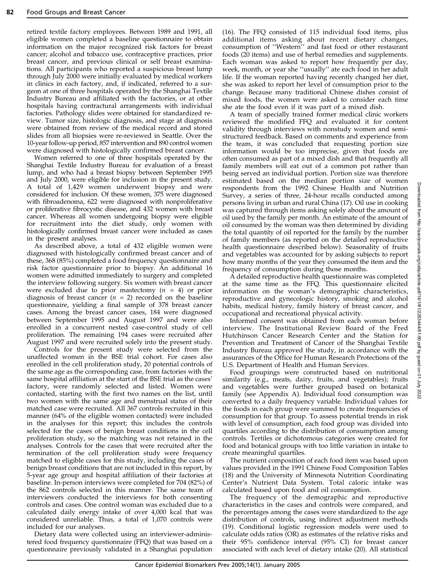retired textile factory employees. Between 1989 and 1991, all eligible women completed a baseline questionnaire to obtain information on the major recognized risk factors for breast cancer; alcohol and tobacco use, contraceptive practices, prior breast cancer, and previous clinical or self breast examinations. All participants who reported a suspicious breast lump through July 2000 were initially evaluated by medical workers in clinics in each factory, and, if indicated, referred to a surgeon at one of three hospitals operated by the Shanghai Textile Industry Bureau and affiliated with the factories, or at other hospitals having contractural arrangements with individual factories. Pathology slides were obtained for standardized review. Tumor size, histologic diagnosis, and stage at diagnosis were obtained from review of the medical record and stored slides from all biopsies were re-reviewed in Seattle. Over the 10-year follow-up period, 857 intervention and 890 control women were diagnosed with histologically confirmed breast cancer.

Women referred to one of three hospitals operated by the Shanghai Textile Industry Bureau for evaluation of a breast lump, and who had a breast biopsy between September 1995 and July 2000, were eligible for inclusion in the present study. A total of 1,429 women underwent biopsy and were considered for inclusion. Of these women, 375 were diagnosed with fibroadenoma, 622 were diagnosed with nonproliferative or proliferative fibrocystic disease, and 432 women with breast cancer. Whereas all women undergoing biopsy were eligible for recruitment into the diet study, only women with histologically confirmed breast cancer were included as cases in the present analyses.

As described above, a total of 432 eligible women were diagnosed with histologically confirmed breast cancer and of these, 368 (85%) completed a food frequency questionnaire and risk factor questionnaire prior to biopsy. An additional 16 women were admitted immediately to surgery and completed the interview following surgery. Six women with breast cancer were excluded due to prior mastectomy  $(n = 4)$  or prior diagnosis of breast cancer ( $n = 2$ ) recorded on the baseline questionnaire, yielding a final sample of 378 breast cancer cases. Among the breast cancer cases, 184 were diagnosed between September 1995 and August 1997 and were also enrolled in a concurrent nested case-control study of cell proliferation. The remaining 194 cases were recruited after August 1997 and were recruited solely into the present study.

Controls for the present study were selected from the unaffected women in the BSE trial cohort. For cases also enrolled in the cell proliferation study, 20 potential controls of the same age as the corresponding case, from factories with the same hospital affiliation at the start of the BSE trial as the cases' factory, were randomly selected and listed. Women were contacted, starting with the first two names on the list, until two women with the same age and menstrual status of their matched case were recruited. All 367 controls recruited in this manner (64% of the eligible women contacted) were included in the analyses for this report; this includes the controls selected for the cases of benign breast conditions in the cell proliferation study, so the matching was not retained in the analyses. Controls for the cases that were recruited after the termination of the cell proliferation study were frequency matched to eligible cases for this study, including the cases of benign breast conditions that are not included in this report, by 5-year age group and hospital affiliation of their factories at baseline. In-person interviews were completed for 704 (82%) of the 862 controls selected in this manner. The same team of interviewers conducted the interviews for both consenting controls and cases. One control woman was excluded due to a calculated daily energy intake of over 4,000 kcal that was considered unreliable. Thus, a total of 1,070 controls were included for our analyses.

Dietary data were collected using an interviewer-administered food frequency questionnaire (FFQ) that was based on a questionnaire previously validated in a Shanghai population (16). The FFQ consisted of 115 individual food items, plus additional items asking about recent dietary changes, consumption of ''Western'' and fast food or other restaurant foods (20 items) and use of herbal remedies and supplements. Each woman was asked to report how frequently per day, week, month, or year she ''usually'' ate each food in her adult life. If the woman reported having recently changed her diet, she was asked to report her level of consumption prior to the change. Because many traditional Chinese dishes consist of mixed foods, the women were asked to consider each time she ate the food even if it was part of a mixed dish.

A team of specially trained former medical clinic workers reviewed the modified FFQ and evaluated it for content validity through interviews with nonstudy women and semistructured feedback. Based on comments and experience from the team, it was concluded that requesting portion size information would be too imprecise, given that foods are often consumed as part of a mixed dish and that frequently all family members will eat out of a common pot rather than being served an individual portion. Portion size was therefore estimated based on the median portion size of women respondents from the 1992 Chinese Health and Nutrition Survey, a series of three, 24-hour recalls conducted among persons living in urban and rural China (17). Oil use in cooking was captured through items asking solely about the amount of oil used by the family per month. An estimate of the amount of oil consumed by the woman was then determined by dividing the total quantity of oil reported for the family by the number of family members (as reported on the detailed reproductive health questionnaire described below). Seasonality of fruits and vegetables was accounted for by asking subjects to report how many months of the year they consumed the item and the frequency of consumption during those months.

A detailed reproductive health questionnaire was completed at the same time as the FFQ. This questionnaire elicited information on the woman's demographic characteristics, reproductive and gynecologic history, smoking and alcohol habits, medical history, family history of breast cancer, and occupational and recreational physical activity.

Informed consent was obtained from each woman before interview. The Institutional Review Board of the Fred Hutchinson Cancer Research Center and the Station for Prevention and Treatment of Cancer of the Shanghai Textile Industry Bureau approved the study, in accordance with the assurances of the Office for Human Research Protections of the U.S. Department of Health and Human Services.

Food groupings were constructed based on nutritional similarity (e.g., meats, dairy, fruits, and vegetables); fruits and vegetables were further grouped based on botanical family (see Appendix A). Individual food consumption was converted to a daily frequency variable. Individual values for the foods in each group were summed to create frequencies of consumption for that group. To assess potential trends in risk with level of consumption, each food group was divided into quartiles according to the distribution of consumption among controls. Tertiles or dichotomous categories were created for food and botanical groups with too little variation in intake to create meaningful quartiles.

The nutrient composition of each food item was based upon values provided in the 1991 Chinese Food Composition Tables (18) and the University of Minnesota Nutrition Coordinating Center's Nutrient Data System. Total caloric intake was calculated based upon food and oil consumption.

The frequency of the demographic and reproductive characteristics in the cases and controls were compared, and the percentages among the cases were standardized to the age distribution of controls, using indirect adjustment methods (19). Conditional logistic regression models were used to calculate odds ratios (OR) as estimates of the relative risks and their 95% confidence interval (95% CI) for breast cancer associated with each level of dietary intake (20). All statistical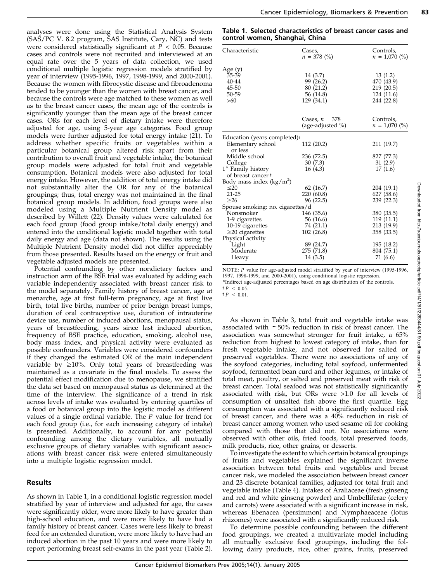analyses were done using the Statistical Analysis System (SAS/PC V. 8.2 program, SAS Institute, Cary, NC) and tests were considered statistically significant at  $P < 0.05$ . Because cases and controls were not recruited and interviewed at an equal rate over the 5 years of data collection, we used conditional multiple logistic regression models stratified by year of interview (1995-1996, 1997, 1998-1999, and 2000-2001). Because the women with fibrocystic disease and fibroadenoma tended to be younger than the women with breast cancer, and because the controls were age matched to these women as well as to the breast cancer cases, the mean age of the controls is significantly younger than the mean age of the breast cancer cases. ORs for each level of dietary intake were therefore adjusted for age, using 5-year age categories. Food group models were further adjusted for total energy intake (21). To address whether specific fruits or vegetables within a particular botanical group altered risk apart from their contribution to overall fruit and vegetable intake, the botanical group models were adjusted for total fruit and vegetable consumption. Botanical models were also adjusted for total energy intake. However, the addition of total energy intake did not substantially alter the OR for any of the botanical groupings; thus, total energy was not maintained in the final botanical group models. In addition, food groups were also modeled using a Multiple Nutrient Density model as described by Willett (22). Density values were calculated for each food group (food group intake/total daily energy) and entered into the conditional logistic model together with total daily energy and age (data not shown). The results using the Multiple Nutrient Density model did not differ appreciably from those presented. Results based on the energy or fruit and vegetable adjusted models are presented.

Potential confounding by other nondietary factors and instruction arm of the BSE trial was evaluated by adding each variable independently associated with breast cancer risk to the model separately. Family history of breast cancer, age at menarche, age at first full-term pregnancy, age at first live birth, total live births, number of prior benign breast lumps, duration of oral contraceptive use, duration of intrauterine device use, number of induced abortions, menopausal status, years of breastfeeding, years since last induced abortion, frequency of BSE practice, education, smoking, alcohol use, body mass index, and physical activity were evaluated as possible confounders. Variables were considered confounders if they changed the estimated OR of the main independent variable by  $\geq 10\%$ . Only total years of breastfeeding was maintained as a covariate in the final models. To assess the potential effect modification due to menopause, we stratified the data set based on menopausal status as determined at the time of the interview. The significance of a trend in risk across levels of intake was evaluated by entering quartiles of a food or botanical group into the logistic model as different values of a single ordinal variable. The P value for trend for each food group (i.e., for each increasing category of intake) is presented. Additionally, to account for any potential confounding among the dietary variables, all mutually exclusive groups of dietary variables with significant associations with breast cancer risk were entered simultaneously into a multiple logistic regression model.

# Results

As shown in Table 1, in a conditional logistic regression model stratified by year of interview and adjusted for age, the cases were significantly older, were more likely to have greater than high-school education, and were more likely to have had a family history of breast cancer. Cases were less likely to breast feed for an extended duration, were more likely to have had an induced abortion in the past 10 years and were more likely to report performing breast self-exams in the past year (Table 2).

Table 1. Selected characteristics of breast cancer cases and control women, Shanghai, China

| Characteristic                           | Cases,<br>$n = 378$ (%) | Controls,<br>$n = 1,070$ (%) |  |
|------------------------------------------|-------------------------|------------------------------|--|
| Age (y)                                  |                         |                              |  |
| 35-39                                    | 14 (3.7)                | 13(1.2)                      |  |
| 40-44                                    | 99 (26.2)               | 470 (43.9)                   |  |
| 45-50                                    | 80 (21.2)               | 219 (20.5)                   |  |
| 50-59                                    | 56 (14.8)               | 124 (11.6)                   |  |
| $>60$                                    | 129 (34.1)              | 244 (22.8)                   |  |
|                                          |                         |                              |  |
|                                          | Cases, $n = 378$        | Controls,                    |  |
|                                          | (age-adjusted %)        | $n = 1,070$ (%)              |  |
| Education (years completed) <sup>+</sup> |                         |                              |  |
| Elementary school<br>or less             | 112 (20.2)              | 211 (19.7)                   |  |
| Middle school                            | 236 (72.5)              | 827 (77.3)                   |  |
| College                                  | 30 (7.3)                | 31(2.9)                      |  |
| $1^\circ$ Family history                 | 16(4.3)                 | 17(1.6)                      |  |
| of breast cancer #                       |                         |                              |  |
| Body mass index $(kg/m^2)$               |                         |                              |  |
| $<$ 20                                   | 62(16.7)                | 204 (19.1)                   |  |
| $21 - 25$                                | 220 (60.8)              | 627 (58.6)                   |  |
| $\geq 26$                                | 96 (22.5)               | 239 (22.3)                   |  |
| Spouse smoking: no. cigarettes/d         |                         |                              |  |
| Nonsmoker                                | 146 (35.6)              | 380 (35.5)                   |  |
| 1-9 cigarettes                           | 56 (16.6)               | 119(11.1)                    |  |
| 10-19 cigarettes                         | 74 (21.1)               | 213 (19.9)                   |  |
| $\geq$ 20 cigarettes                     | 102 (26.8)              | 358 (33.5)                   |  |
| Physical activity                        |                         |                              |  |
| Light                                    | 89 (24.7)               | 195 (18.2)                   |  |
| Moderate                                 | 275 (71.8)              | 804 (75.1)                   |  |
| Heavy                                    | 14 (3.5)                | 71 (6.6)                     |  |
|                                          |                         |                              |  |

NOTE: P value for age-adjusted model stratified by year of interview (1995-1996, 1997, 1998-1999, and 2000-2001), using conditional logistic regression.

\*Indirect age-adjusted percentages based on age distribution of the controls.  $+P$  < 0.05.

 $\pm P$  < 0.01.

As shown in Table 3, total fruit and vegetable intake was associated with  $\sim$  50% reduction in risk of breast cancer. The association was somewhat stronger for fruit intake, a 65% reduction from highest to lowest category of intake, than for fresh vegetable intake, and not observed for salted or preserved vegetables. There were no associations of any of the soyfood categories, including total soyfood, unfermented soyfood, fermented bean curd and other legumes, or intake of total meat, poultry, or salted and preserved meat with risk of breast cancer. Total seafood was not statistically significantly associated with risk, but ORs were >1.0 for all levels of consumption of unsalted fish above the first quartile. Egg consumption was associated with a significantly reduced risk of breast cancer, and there was a 40% reduction in risk of breast cancer among women who used sesame oil for cooking compared with those that did not. No associations were observed with other oils, fried foods, total preserved foods, milk products, rice, other grains, or desserts.

To investigate the extent to which certain botanical groupings of fruits and vegetables explained the significant inverse association between total fruits and vegetables and breast cancer risk, we modeled the association between breast cancer and 23 discrete botanical families, adjusted for total fruit and vegetable intake (Table 4). Intakes of Araliaceae (fresh ginseng and red and white ginseng powder) and Umbelliferae (celery and carrots) were associated with a significant increase in risk, whereas Ebenacea (persimmon) and Nymphaeaceae (lotus rhizomes) were associated with a significantly reduced risk.

To determine possible confounding between the different food groupings, we created a multivariate model including all mutually exclusive food groupings, including the following dairy products, rice, other grains, fruits, preserved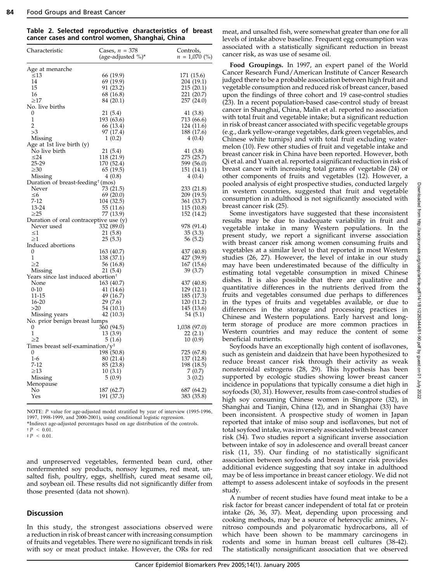|  |  | Table 2. Selected reproductive characteristics of breast |  |  |
|--|--|----------------------------------------------------------|--|--|
|  |  | cancer cases and control women, Shanghai, China          |  |  |

| Characteristic                                            | Cases, $n = 378$<br>(age-adjusted %)* | Controls,<br>$n = 1,070$ (%) |
|-----------------------------------------------------------|---------------------------------------|------------------------------|
| Age at menarche                                           |                                       |                              |
| $\leq 13$                                                 | 66 (19.9)                             | 171 (15.6)                   |
| 14                                                        | 69 (19.9)                             | 204 (19.1)                   |
| 15                                                        | 91 (23.2)                             | 215 (20.1)                   |
| 16                                                        | 68 (16.8)                             | 221 (20.7)                   |
| $\geq17$                                                  | 84 (20.1)                             | 257 (24.0)                   |
| No. live births                                           |                                       |                              |
| 0                                                         | 21 (5.4)                              | 41 (3.8)                     |
| 1                                                         | 193 (63.6)                            | 713 (66.6)                   |
| 2                                                         | 66 (13.4)                             | 124 (11.6)                   |
| >3                                                        | 97 (17.4)                             | 188 (17.6)                   |
| Missing                                                   | 1(0.2)                                | 4(0.4)                       |
| Age at 1st live birth (y)                                 |                                       |                              |
| No live birth                                             | 21 (5.4)                              | 41(3.8)                      |
| $\leq$ 24                                                 | 118 (21.9)                            | 275 (25.7)                   |
| 25-29                                                     | 170 (52.4)                            | 599 (56.0)                   |
| $\geq 30$                                                 | 65 (19.5)                             | 151 (14.1)                   |
| Missing                                                   | 4(0.8)                                | 4(0.4)                       |
| Duration of breast-feeding <sup>†</sup> (mos)             |                                       |                              |
| Never                                                     | 73 (21.5)                             | 233 (21.8)                   |
| $\leq 6$                                                  | 69(20.0)                              | 209 (19.5)                   |
| $7 - 12$                                                  | 104 (32.5)                            | 361 (33.7)                   |
| 13-24                                                     | 55 (11.6)                             | 115 (10.8)                   |
| $\geq$ 25                                                 | 77 (13.9)                             | 152 (14.2)                   |
| Duration of oral contraceptive use (y)                    |                                       |                              |
| Never used                                                | 332 (89.0)                            | 978 (91.4)                   |
| $\leq1$                                                   | 21(5.8)                               | 35(3.3)                      |
| $\geq1$                                                   | 25(5.3)                               | 56 (5.2)                     |
| Induced abortions                                         |                                       |                              |
| 0<br>1                                                    | 163 (40.7)                            | 437 (40.8)                   |
| $\geq$ 2                                                  | 138 (37.1)                            | 427 (39.9)                   |
|                                                           | 56 (16.8)<br>21 (5.4)                 | 167 (15.6)<br>39 (3.7)       |
| Missing<br>Years since last induced abortion <sup>†</sup> |                                       |                              |
| None                                                      | 163 (40.7)                            | 437 (40.8)                   |
| $0 - 10$                                                  | 41 (14.6)                             | 129 (12.1)                   |
| 11-15                                                     | 49 (16.7)                             | 185 (17.3)                   |
| 16-20                                                     | 29 (7.6)                              | 120 (11.2)                   |
| >20                                                       | 54(10.1)                              | 145 (13.6)                   |
| Missing years                                             | 42 (10.3)                             | 54 (5.1)                     |
| No. prior benign breast lumps                             |                                       |                              |
| 0                                                         | 360 (94.5)                            | 1,038 (97.0)                 |
| 1                                                         | 13 (3.9)                              | 22(2.1)                      |
| $\geq$                                                    | 5(1.6)                                | 10(0.9)                      |
| Times breast self-examination/ $y^{\ddagger}$             |                                       |                              |
| 0                                                         | 198 (50.8)                            | 725 (67.8)                   |
| $1-6$                                                     | 80 (21.4)                             | 137 (12.8)                   |
| 7-12                                                      | 85 (23.8)                             | 198 (18.5)                   |
| $\geq$ 13                                                 | 10(3.1)                               | 7(0.7)                       |
| Missing                                                   | 5(0.9)                                | 3(0.2)                       |
| Menopause                                                 |                                       |                              |
| No                                                        | 187 (62.7)                            | 687 (64.2)                   |
| Yes                                                       | 191 (37.3)                            | 383 (35.8)                   |
|                                                           |                                       |                              |

NOTE: P value for age-adjusted model stratified by year of interview (1995-1996, 1997, 1998-1999, and 2000-2001), using conditional logistic regression.

\*Indirect age-adjusted percentages based on age distribution of the controls.

 $p < 0.01$ 

 $\pm P$  < 0.01.

and unpreserved vegetables, fermented bean curd, other nonfermented soy products, nonsoy legumes, red meat, unsalted fish, poultry, eggs, shellfish, cured meat sesame oil, and soybean oil. These results did not significantly differ from those presented (data not shown).

## **Discussion**

In this study, the strongest associations observed were a reduction in risk of breast cancer with increasing consumption of fruits and vegetables. There were no significant trends in risk with soy or meat product intake. However, the ORs for red meat, and unsalted fish, were somewhat greater than one for all levels of intake above baseline. Frequent egg consumption was associated with a statistically significant reduction in breast cancer risk, as was use of sesame oil.

Food Groupings. In 1997, an expert panel of the World Cancer Research Fund/American Institute of Cancer Research judged there to be a probable association between high fruit and vegetable consumption and reduced risk of breast cancer, based upon the findings of three cohort and 19 case-control studies (23). In a recent population-based case-control study of breast cancer in Shanghai, China, Malin et al. reported no association with total fruit and vegetable intake; but a significant reduction in risk of breast cancer associated with specific vegetable groups (e.g., dark yellow-orange vegetables, dark green vegetables, and Chinese white turnips) and with total fruit excluding watermelon (10). Few other studies of fruit and vegetable intake and breast cancer risk in China have been reported. However, both Qi et al. and Yuan et al. reported a significant reduction in risk of breast cancer with increasing total grams of vegetable (24) or other components of fruits and vegetables (12). However, a pooled analysis of eight prospective studies, conducted largely in western countries, suggested that fruit and vegetable consumption in adulthood is not significantly associated with breast cancer risk (25).

Some investigators have suggested that these inconsistent results may be due to inadequate variability in fruit and vegetable intake in many Western populations. In the present study, we report a significant inverse association with breast cancer risk among women consuming fruits and vegetables at a similar level to that reported in most Western studies (26, 27). However, the level of intake in our study may have been underestimated because of the difficulty in estimating total vegetable consumption in mixed Chinese dishes. It is also possible that there are qualitative and quantitative differences in the nutrients derived from the fruits and vegetables consumed due perhaps to differences in the types of fruits and vegetables available, or due to differences in the storage and processing practices in Chinese and Western populations. Early harvest and longterm storage of produce are more common practices in Western countries and may reduce the content of some beneficial nutrients.

Soyfoods have an exceptionally high content of isoflavones, such as genistein and daidzein that have been hypothesized to reduce breast cancer risk through their activity as weak nonsteroidal estrogens (28, 29). This hypothesis has been supported by ecologic studies showing lower breast cancer incidence in populations that typically consume a diet high in soyfoods (30, 31). However, results from case-control studies of high soy consuming Chinese women in Singapore (32), in Shanghai and Tianjin, China (12), and in Shanghai (33) have been inconsistent. A prospective study of women in Japan reported that intake of miso soup and isoflavones, but not of total soyfood intake, was inversely associated with breast cancer risk (34). Two studies report a significant inverse association between intake of soy in adolescence and overall breast cancer risk (11, 35). Our finding of no statistically significant association between soyfoods and breast cancer risk provides additional evidence suggesting that soy intake in adulthood may be of less importance in breast cancer etiology. We did not attempt to assess adolescent intake of soyfoods in the present study.

A number of recent studies have found meat intake to be a risk factor for breast cancer independent of total fat or protein intake (26, 36, 37). Meat, depending upon processing and cooking methods, may be a source of heterocyclic amines, Nnitroso compounds and polyaromatic hydrocarbons, all of which have been shown to be mammary carcinogens in rodents and some in human breast cell cultures (38-42). The statistically nonsignificant association that we observed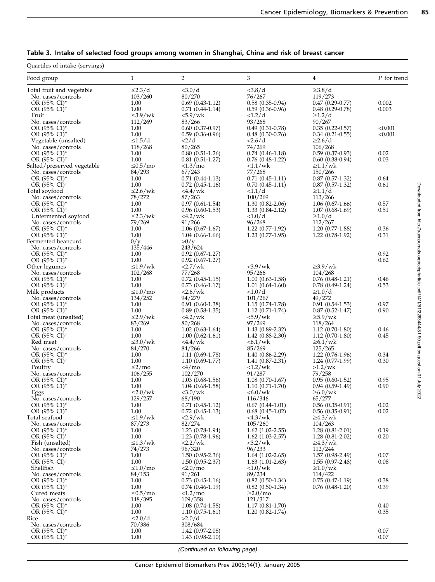Downloaded from http://aacrjournals.org/cebp/article-pdf/14/1/8112263444/81-90.pdf by guest on 01 July 2022 Downloaded from http://aacrjournals.org/cebp/article-pdf/14/1/81/2263444/81-90.pdf by guest on 01 July 2022

# Table 3. Intake of selected food groups among women in Shanghai, China and risk of breast cancer

Quartiles of intake (servings)

| Food group                               | $\mathbf{1}$           | $\overline{2}$                         | 3                                           | $\overline{4}$                         | P for trend  |
|------------------------------------------|------------------------|----------------------------------------|---------------------------------------------|----------------------------------------|--------------|
| Total fruit and vegetable                | $\leq$ 2.3/d           | <3.0/d                                 | <3.8/d                                      | $\geq$ 3.8/d                           |              |
| No. cases/controls                       | 103/260                | 80/270                                 | 76/267                                      | 119/273                                |              |
| OR (95% CI)*<br>OR (95% CI) <sup>†</sup> | 1.00                   | $0.69(0.43-1.12)$                      | $0.58(0.35-0.94)$                           | $0.47(0.29-0.77)$                      | 0.002        |
| Fruit                                    | 1.00<br>$\leq 3.9$ /wk | $0.71(0.44-1.14)$<br>$< 5.9$ /wk       | $0.59(0.36-0.96)$<br><1.2/d                 | $0.48(0.29-0.78)$<br>$\geq$ 1.2/d      | 0.003        |
| No. cases/controls                       | 112/269                | 83/266                                 | 93/268                                      | 90/267                                 |              |
| OR (95% CI)*                             | 1.00                   | $0.60(0.37-0.97)$                      | $0.49(0.31-0.78)$                           | $0.35(0.22 - 0.57)$                    | < 0.001      |
| OR $(95\% \text{ CI})^{\dagger}$         | 1.00                   | $0.59(0.36-0.96)$                      | $0.48(0.30-0.76)$                           | $0.34(0.21-0.55)$                      | < 0.001      |
| Vegetable (unsalted)                     | $\leq 1.5/d$           | <2/d                                   | 2.6/d                                       | $\geq$ 2.6/d                           |              |
| No. cases/controls                       | 118/268                | 80/265                                 | 74/269                                      | 106/268                                |              |
| OR (95% CI)*                             | 1.00                   | $0.80(0.51-1.26)$                      | $0.74(0.46-1.18)$                           | $0.59(0.37-0.93)$                      | 0.02         |
| OR (95% CI) <sup>+</sup>                 | 1.00                   | $0.81(0.51-1.27)$                      | $0.76(0.48-1.22)$                           | $0.60(0.38-0.94)$                      | 0.03         |
| Salted/preserved vegetable               | $\leq 0.5$ /mo         | <1.3/mo                                | $\langle 1.1/wk \rangle$                    | $\geq 1.1$ /wk                         |              |
| No. cases/controls<br>OR (95% CI)*       | 84/293<br>1.00         | 67/243<br>$0.71(0.44-1.13)$            | 77/268                                      | 150/266<br>$0.87(0.57-1.32)$           | 0.64         |
| OR (95% CI) <sup>†</sup>                 | 1.00                   | $0.72(0.45-1.16)$                      | $0.71(0.45-1.11)$<br>$0.70(0.45-1.11)$      | $0.87(0.57-1.32)$                      | 0.61         |
| Total soyfood                            | $\leq$ 2.6/wk          | <4.4/wk                                | <1.1/d                                      | $\geq 1.1/d$                           |              |
| No. cases/controls                       | 78/272                 | 87/263                                 | 100/269                                     | 113/266                                |              |
| OR (95% CI)*                             | 1.00                   | $0.97(0.61-1.54)$                      | $1.30(0.82 - 2.06)$                         | $1.06(0.67-1.66)$                      | 0.57         |
| OR $(95\% \text{ CI})^{\dagger}$         | 1.00                   | $0.96(0.60-1.53)$                      | $1.33(0.84 - 2.12)$                         | $1.07(0.68-1.69)$                      | 0.51         |
| Unfermented soyfood                      | $\leq$ 2.3/wk          | 4.2/wk                                 | <1.0/d                                      | $\geq 1.0/d$                           |              |
| No. cases/controls                       | 79/269                 | 91/266                                 | 96/268                                      | 112/267                                |              |
| OR (95% CI)*                             | 1.00                   | $1.06(0.67-1.67)$                      | $1.22(0.77-1.92)$                           | $1.20(0.77-1.88)$                      | 0.36         |
| OR (95% CI) <sup>+</sup>                 | 1.00                   | $1.04(0.66-1.66)$                      | $1.23(0.77-1.95)$                           | $1.22(0.78-1.92)$                      | 0.31         |
| Fermented beancurd                       | 0/y                    | >0/y                                   |                                             |                                        |              |
| No. cases/controls                       | 135/446                | 243/624                                |                                             |                                        |              |
| OR (95% CI)*<br>OR (95% CI) <sup>†</sup> | 1.00<br>1.00           | $0.92(0.67-1.27)$<br>$0.92(0.67-1.27)$ |                                             |                                        | 0.92<br>0.62 |
| Other legumes                            | $\leq 1.9$ /wk         | <2.7/wk                                | $<$ 3.9/wk                                  | $\geq$ 3.9/wk                          |              |
| No. cases/controls                       | 102/268                | 77/268                                 | 95/266                                      | 104/268                                |              |
| OR (95% CI)*                             | 1.00                   | $0.72(0.45-1.15)$                      | $1.00(0.63-1.58)$                           | $0.76(0.48-1.21)$                      | 0.46         |
| OR $(95\% \text{ CI})^{\dagger}$         | 1.00                   | $0.73(0.46-1.17)$                      | $1.01(0.64-1.60)$                           | $0.78(0.49-1.24)$                      | 0.53         |
| Milk products                            | $\leq 1.0$ /mo         | $2.6$ /wk                              | <1.0/d                                      | $\geq1.0/d$                            |              |
| No. cases/controls                       | 134/252                | 94/279                                 | 101/267                                     | 49/272                                 |              |
| OR (95% CI)*                             | 1.00                   | $0.91(0.60-1.38)$                      | $1.15(0.74-1.78)$                           | $0.91(0.54-1.53)$                      | 0.97         |
| OR $(95\% \text{ CI})^{\dagger}$         | 1.00                   | $0.89(0.58-1.35)$                      | $1.12(0.71-1.74)$                           | $0.87(0.52-1.47)$                      | 0.90         |
| Total meat (unsalted)                    | $\leq$ 2.9/wk          | <4.2/wk                                | $< 5.9$ /wk                                 | $\geq 5.9$ /wk                         |              |
| No. cases/controls<br>OR (95% CI)*       | 83/269<br>1.00         | 80/268<br>$1.02$ (0.63-1.64)           | 97/269<br>$1.43(0.89-2.32)$                 | 118/264                                | 0.46         |
| OR $(95\% \text{ CI})^{\dagger}$         | 1.00                   | $1.00(0.62-1.61)$                      | $1.42(0.88-2.30)$                           | $1.12(0.70-1.80)$<br>$1.12(0.70-1.80)$ | 0.45         |
| Red meat                                 | $\leq 3.0$ /wk         | <4.4/wk                                | $< 6.1$ /wk                                 | $\geq 6.1$ /wk                         |              |
| No. cases/controls                       | 84/270                 | 84/266                                 | 85/269                                      | 125/265                                |              |
| OR (95% CI)*                             | 1.00                   | $1.11(0.69-1.78)$                      | $1.40(0.86-2.29)$                           | 1.22 (0.76-1.96)                       | 0.34         |
| OR $(95\% \text{ CI})^{\dagger}$         | 1.00                   | $1.10(0.69-1.77)$                      | $1.41(0.87-2.31)$                           | $1.24(0.77-1.99)$                      | 0.30         |
| Poultry                                  | $\leq$ 2/mo            | $<$ 4/mo                               | $\langle 1.2/wk \rangle$                    | $>1.2$ /wk                             |              |
| No. cases/controls                       | 106/255                | 102/270                                | 91/287                                      | 79/258                                 |              |
| OR $(95\% \text{ CI})^*$                 | 1.00                   | $1.03(0.68-1.56)$                      | $1.08(0.70-1.67)$                           | $0.95(0.60-1.52)$                      | 0.95         |
| OR (95% CI) <sup>+</sup>                 | 1.00<br>$\leq$ 2.0/wk  | $1.04(0.68-1.58)$                      | $1.10(0.71-1.70)$                           | $0.94(0.59-1.49)$<br>$\geq 6.0$ /wk    | 0.90         |
| Eggs<br>No. cases/controls               | 129/257                | $<3.0$ /wk<br>68/190                   | $< 6.0$ /wk<br>116/346                      | 65/277                                 |              |
| OR (95% CI)*                             | 1.00                   | $0.71(0.45-1.12)$                      | $0.67(0.44-1.01)$                           | $0.56(0.35-0.91)$                      | 0.02         |
| OR $(95\% \text{ CI})^{\dagger}$         | 1.00                   | $0.72(0.45-1.13)$                      | $0.68(0.45-1.02)$                           | $0.56(0.35-0.91)$                      | 0.02         |
| Total seafood                            | $\leq 1.9$ /wk         | 2.9/wk                                 | $<$ 4.3/wk                                  | $\geq 4.3$ /wk                         |              |
| No. cases/controls                       | 87/273                 | 82/274                                 | 105/260                                     | 104/263                                |              |
| OR (95% CI)*                             | 1.00                   | 1.23 (0.78-1.94)                       | $1.62(1.02-2.55)$                           | $1.28(0.81 - 2.01)$                    | 0.19         |
| OR (95% CI) <sup>†</sup>                 | 1.00                   | $1.23(0.78-1.96)$                      | $1.62$ $(1.03 - 2.57)$                      | $1.28(0.81 - 2.02)$                    | 0.20         |
| Fish (unsalted)                          | $\leq 1.3$ /wk         | <2.2/wk                                | <3.2/wk                                     | $\geq$ 4.3/wk                          |              |
| No. cases/controls                       | 74/273                 | 96/320                                 | 96/233                                      | 112/244                                |              |
| OR (95% CI)*<br>OR (95% CI) <sup>†</sup> | 1.00<br>1.00           | $1.50(0.95-2.36)$<br>$1.50(0.95-2.37)$ | $1.64$ $(1.02 - 2.65)$<br>$1.63(1.01-2.63)$ | $1.57(0.98-2.49)$<br>$1.55(0.97-2.48)$ | 0.07<br>0.08 |
| Shellfish                                | $\leq 1.0$ /mo         | <2.0/mo                                | $\langle 1.0/wk \rangle$                    | $\geq 1.0$ /wk                         |              |
| No. cases/controls                       | 84/153                 | 91/261                                 | 89/234                                      | 114/422                                |              |
| OR $(95\% \text{ CI})^*$                 | 1.00                   | $0.73(0.45-1.16)$                      | $0.82(0.50-1.34)$                           | $0.75(0.47-1.19)$                      | 0.38         |
| OR (95% CI) <sup>+</sup>                 | 1.00                   | $0.74(0.46-1.19)$                      | $0.82(0.50-1.34)$                           | $0.76(0.48-1.20)$                      | 0.39         |
| Cured meats                              | $\leq 0.5$ /mo         | <1.2/mo                                | $\geq$ 2.0/mo                               |                                        |              |
| No. cases/controls                       | 148/395                | 109/358                                | 121/317                                     |                                        |              |
| OR (95% CI)*                             | $1.00\,$               | $1.08(0.74-1.58)$                      | $1.17(0.81 - 1.70)$                         |                                        | 0.40         |
| OR $(95\% \text{ CI})^{\dagger}$         | 1.00                   | $1.10(0.75-1.61)$                      | $1.20(0.82 - 1.74)$                         |                                        | 0.35         |
| Rice                                     | $\leq$ 2.0/d           | >2.0/d                                 |                                             |                                        |              |
| No. cases/controls                       | 70/386                 | 308/684                                |                                             |                                        |              |
| OR (95% CI)*<br>OR (95% CI) <sup>†</sup> | 1.00<br>1.00           | $1.42(0.97-2.08)$<br>$1.43(0.98-2.10)$ |                                             |                                        | 0.07<br>0.07 |
|                                          |                        |                                        |                                             |                                        |              |

(Continued on following page)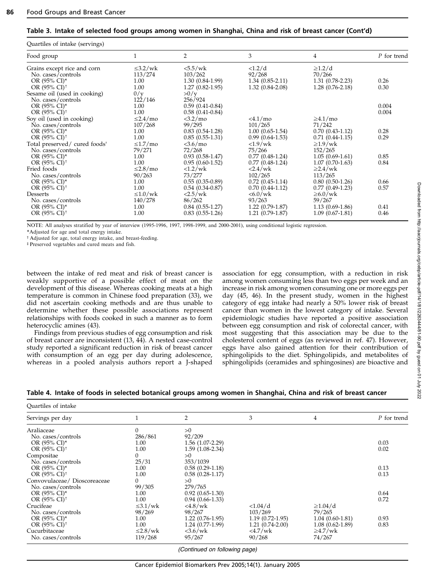#### Table 3. Intake of selected food groups among women in Shanghai, China and risk of breast cancer (Cont'd)

| Quartiles of intake (servings)            |                |                          |                          |                   |             |
|-------------------------------------------|----------------|--------------------------|--------------------------|-------------------|-------------|
| Food group                                |                | $\overline{2}$           | 3                        | 4                 | P for trend |
| Grains except rice and corn               | $\leq$ 3.2/wk  | $<\frac{5.5}{w}$ k       | <1.2/d                   | $\geq$ 1.2/d      |             |
| No. cases/controls                        | 113/274        | 103/262                  | 92/268                   | 70/266            |             |
| OR $(95\% \text{ CI})^*$                  | 1.00           | $1.30(0.84-1.99)$        | $1.34(0.85-2.11)$        | $1.31(0.78-2.23)$ | 0.26        |
| OR (95% CI) <sup>†</sup>                  | 1.00           | $1.27(0.82-1.95)$        | $1.32(0.84-2.08)$        | $1.28(0.76-2.18)$ | 0.30        |
| Sesame oil (used in cooking)              | 0/y            | >0/y                     |                          |                   |             |
| No. cases/controls                        | 122/146        | 256/924                  |                          |                   |             |
| OR $(95\% \text{ CI})^*$                  | 1.00           | $0.59(0.41-0.84)$        |                          |                   | 0.004       |
| OR $(95\% \text{ CI})^{\dagger}$          | 1.00           | $0.58(0.41-0.84)$        |                          |                   | 0.004       |
| Soy oil (used in cooking)                 | $\leq$ 2.4/mo  | <3.2/mo                  | $< 4.1 /$ mo             | $\geq 4.1/mo$     |             |
| No. cases/controls                        | 107/268        | 99/295                   | 101/265                  | 71/242            |             |
| OR $(95\% \text{ CI})^*$                  | 1.00           | $0.83(0.54-1.28)$        | $1.00(0.65-1.54)$        | $0.70(0.43-1.12)$ | 0.28        |
| OR $(95\% \text{ CI})^{\dagger}$          | 1.00           | $0.85(0.55-1.31)$        | $0.99(0.64-1.53)$        | $0.71(0.44-1.15)$ | 0.29        |
| Total preserved/ cured foods <sup>t</sup> | $\leq 1.7$ /mo | $<$ 3.6/mo               | $\langle 1.9/wk \rangle$ | $\geq 1.9$ /wk    |             |
| No. cases/controls                        | 79/271         | 72/268                   | 75/266                   | 152/265           |             |
| OR $(95\% \text{ CI})^*$                  | 1.00           | $0.93(0.58-1.47)$        | $0.77(0.48-1.24)$        | $1.05(0.69-1.61)$ | 0.85        |
| OR $(95\% \text{ CI})^{\dagger}$          | 1.00           | $0.95(0.60-1.52)$        | $0.77(0.48-1.24)$        | $1.07(0.70-1.63)$ | 0.84        |
| Fried foods                               | $\leq$ 2.8/mo  | $\langle 1.2/wk \rangle$ | $<$ 2.4/wk               | $\geq$ 2.4/wk     |             |
| No. cases/controls                        | 90/263         | 73/277                   | 102/265                  | 113/265           |             |
| OR $(95\% \text{ CI})^*$                  | 1.00           | $0.55(0.35-0.89)$        | $0.72(0.45-1.14)$        | $0.80(0.50-1.26)$ | 0.66        |
| OR $(95\% \text{ CI})^{\dagger}$          | 1.00           | $0.54(0.34-0.87)$        | $0.70(0.44-1.12)$        | $0.77(0.49-1.23)$ | 0.57        |
| Desserts                                  | $\leq 1.0$ /wk | 2.5/wk                   | $<6.0$ /wk               | $\geq 6.0$ /wk    |             |
| No. cases/controls                        | 140/278        | 86/262                   | 93/263                   | 59/267            |             |
| OR $(95\% \text{ CI})^*$                  | 1.00           | $0.84(0.55-1.27)$        | $1.22(0.79-1.87)$        | $1.13(0.69-1.86)$ | 0.41        |
| OR $(95\% \text{ CI})^{\dagger}$          | 1.00           | $0.83(0.55-1.26)$        | $1.21(0.79-1.87)$        | $1.09(0.67-1.81)$ | 0.46        |

NOTE: All analyses stratified by year of interview (1995-1996, 1997, 1998-1999, and 2000-2001), using conditional logistic regression.

\*Adjusted for age and total energy intake.

t Adjusted for age, total energy intake, and breast-feeding.

 $p$ Preserved vegetables and cured meats and fish.

between the intake of red meat and risk of breast cancer is weakly supportive of a possible effect of meat on the development of this disease. Whereas cooking meats at a high temperature is common in Chinese food preparation (33), we did not ascertain cooking methods and are thus unable to determine whether these possible associations represent relationships with foods cooked in such a manner as to form heterocyclic amines (43).

Findings from previous studies of egg consumption and risk of breast cancer are inconsistent (13, 44). A nested case-control study reported a significant reduction in risk of breast cancer with consumption of an egg per day during adolescence, whereas in a pooled analysis authors report a J-shaped association for egg consumption, with a reduction in risk among women consuming less than two eggs per week and an increase in risk among women consuming one or more eggs per day (45, 46). In the present study, women in the highest category of egg intake had nearly a 50% lower risk of breast cancer than women in the lowest category of intake. Several epidemiologic studies have reported a positive association between egg consumption and risk of colorectal cancer, with most suggesting that this association may be due to the cholesterol content of eggs (as reviewed in ref. 47). However, eggs have also gained attention for their contribution of sphingolipids to the diet. Sphingolipids, and metabolites of sphingolipids (ceramides and sphingosines) are bioactive and

#### Table 4. Intake of foods in selected botanical groups among women in Shanghai, China and risk of breast cancer

| Quartiles of intake              |                |                                                                                                         |                   |                     |             |
|----------------------------------|----------------|---------------------------------------------------------------------------------------------------------|-------------------|---------------------|-------------|
| Servings per day                 |                | $\overline{2}$                                                                                          | 3                 | 4                   | P for trend |
| Araliaceae                       | $\Omega$       | >0                                                                                                      |                   |                     |             |
| No. cases/controls               | 286/861        | 92/209                                                                                                  |                   |                     |             |
| OR $(95\% \text{ CI})^*$         | 1.00           | $1.56(1.07-2.29)$                                                                                       |                   |                     | 0.03        |
| OR $(95\% \text{ CI})^{\dagger}$ | 1.00           | $1.59(1.08-2.34)$                                                                                       |                   |                     | 0.02        |
| Compositae                       |                | >0                                                                                                      |                   |                     |             |
| No. cases/controls               | 25/31          | 353/1039                                                                                                |                   |                     |             |
| OR $(95\% \text{ CI})^*$         | 1.00           | $0.58(0.29-1.18)$                                                                                       |                   |                     | 0.13        |
| OR $(95\% \text{ CI})^{\dagger}$ | 1.00           | $0.58(0.28-1.17)$                                                                                       |                   |                     | 0.13        |
| Convovulaceae / Dioscoreaceae    | 0              | >0                                                                                                      |                   |                     |             |
| No. cases/controls               | 99/305         | 279/765                                                                                                 |                   |                     |             |
| OR $(95\% \text{ CI})^*$         | 1.00           | $0.92(0.65-1.30)$                                                                                       |                   |                     | 0.64        |
| OR $(95\% \text{ CI})^{\dagger}$ | 1.00           | $0.94(0.66-1.33)$                                                                                       |                   |                     | 0.72        |
| Crucifeae                        | $\leq 3.1$ /wk | $4.8$ /wk                                                                                               | <1.04/d           | $\geq 1.04/d$       |             |
| No. cases/controls               | 98/269         | 98/267                                                                                                  | 103/269           | 79/265              |             |
| OR $(95\% \text{ CI})^*$         | 1.00           | $1.22(0.76-1.95)$                                                                                       | $1.19(0.72-1.95)$ | $1.04(0.60-1.81)$   | 0.93        |
| OR $(95\% \text{ CI})^{\dagger}$ | 1.00           | $1.24(0.77-1.99)$                                                                                       | $1.21(0.74-2.00)$ | $1.08(0.62 - 1.89)$ | 0.83        |
| Cucurbitaceae                    | $\leq$ 2.8/wk  | $<3.6$ /wk                                                                                              | <4.7/wk           | $\geq 4.7$ /wk      |             |
| No. cases/controls               | 119/268        | 95/267                                                                                                  | 90/268            | 74/267              |             |
|                                  |                | $\mathcal{L}$ and $\mathcal{L}$ and $\mathcal{L}$ and $\mathcal{L}$ and $\mathcal{L}$ and $\mathcal{L}$ |                   |                     |             |

(Continued on following page)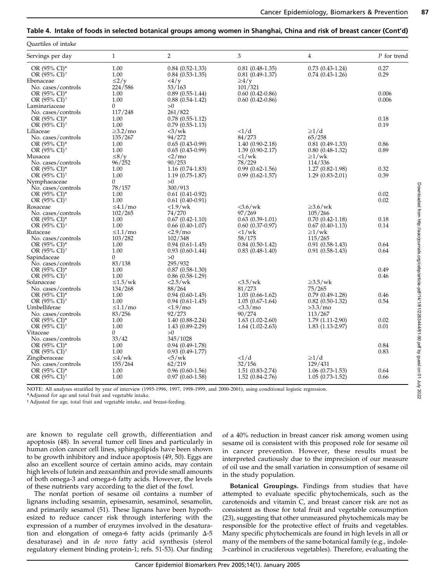# Table 4. Intake of foods in selected botanical groups among women in Shanghai, China and risk of breast cancer (Cont'd)

| Quartiles of intake                              |                           |                              |                            |                                  |             |
|--------------------------------------------------|---------------------------|------------------------------|----------------------------|----------------------------------|-------------|
| Servings per day                                 | $\mathbf{1}$              | $\overline{2}$               | 3                          | 4                                | P for trend |
| OR $(95\% \text{ CI})^*$                         | 1.00                      | $0.84(0.52-1.33)$            | $0.81(0.48-1.35)$          | $0.73(0.43-1.24)$                | 0.27        |
| OR $(95\% \text{ CI})^{\dagger}$                 | 1.00                      | $0.84(0.53-1.35)$            | $0.81(0.49-1.37)$          | $0.74(0.43-1.26)$                | 0.29        |
| Ebenaceae                                        | $\leq$ 2/y                | $\langle 4/y$                | $\geq 4/v$                 |                                  |             |
| No. cases/controls                               | 224/586                   | 53/163                       | 101/321                    |                                  |             |
| OR (95% CI)*                                     | 1.00                      | $0.89(0.55-1.44)$            | $0.60(0.42 - 0.86)$        |                                  | 0.006       |
| OR $(95\% \text{ CI})^{\dagger}$                 | 1.00                      | $0.88(0.54-1.42)$            | $0.60(0.42-0.86)$          |                                  | 0.006       |
| Laminariaceae                                    | $\overline{0}$<br>117/248 | >0<br>261/822                |                            |                                  |             |
| No. cases/controls<br>OR (95% CI)*               | 1.00                      | $0.78(0.55-1.12)$            |                            |                                  | 0.18        |
| OR $(95\% \text{ CI})^{\dagger}$                 | 1.00                      | $0.79(0.55-1.13)$            |                            |                                  | 0.19        |
| Liliaceae                                        | $\geq$ 3.2/mo             | $\langle 3/wk \rangle$       | <1/d                       | $\geq1/d$                        |             |
| No. cases/controls                               | 135/267                   | 94/272                       | 84/273                     | 65/258                           |             |
| OR (95% CI)*                                     | 1.00                      | $0.65(0.43-0.99)$            | $1.40(0.90-2.18)$          | $0.81(0.49-1.33)$                | 0.86        |
| OR (95% CI) <sup>†</sup>                         | 1.00                      | $0.65(0.43-0.99)$            | $1.39(0.90-2.17)$          | $0.80(0.48-1.32)$                | 0.89        |
| Musacea                                          | $\leq 8/v$                | $<2/m$ o                     | <1/wk                      | $\geq$ 1/wk                      |             |
| No. cases/controls                               | 96/252                    | 90/253                       | 78/229                     | 114/336                          |             |
| OR (95% CI)*                                     | 1.00                      | $1.16(0.74-1.83)$            | $0.99(0.62 - 1.56)$        | $1.27(0.82 - 1.98)$              | 0.32        |
| OR $(95\% \text{ CI})^{\dagger}$                 | 1.00                      | $1.19(0.75-1.87)$            | $0.99(0.62 - 1.57)$        | $1.29(0.83-2.01)$                | 0.39        |
| Nymphaeaceae                                     | $\overline{0}$            | >0                           |                            |                                  |             |
| No. cases/controls                               | 78/157                    | 300/913                      |                            |                                  |             |
| OR (95% CI)*                                     | 1.00                      | $0.61(0.41-0.92)$            |                            |                                  | 0.02        |
| OR $(95\% \text{ CI})^{\dagger}$                 | 1.00                      | $0.61(0.40-0.91)$            |                            |                                  | 0.02        |
| Rosaceae                                         | $\leq 4.1/m$ o            | $\langle 1.9/wk \rangle$     | $<3.6$ /wk                 | $\geq$ 3.6/wk                    |             |
| No. cases/controls                               | 102/265                   | 74/270                       | 97/269                     | 105/266                          |             |
| OR (95% CI)*<br>OR $(95\% \text{ CI})^{\dagger}$ | 1.00<br>1.00              | $0.67(0.42 - 1.10)$          | $0.63(0.39-1.01)$          | $0.70(0.42 - 1.18)$              | 0.18        |
| Rutaceae                                         | $\leq 1.1/m$ o            | $0.66(0.40-1.07)$<br><2.9/mo | $0.60(0.37-0.97)$<br><1/wk | $0.67(0.40-1.13)$<br>$\geq$ 1/wk | 0.14        |
| No. cases/controls                               | 103/282                   | 102/348                      | 58/175                     | 115/265                          |             |
| OR (95% CI)*                                     | 1.00                      | $0.94(0.61-1.45)$            | $0.84(0.50-1.42)$          | $0.91(0.58-1.43)$                | 0.64        |
| OR (95% CI) <sup>†</sup>                         | 1.00                      | $0.93(0.60-1.44)$            | $0.83(0.48-1.40)$          | $0.91(0.58-1.43)$                | 0.64        |
| Sapindaceae                                      | $\overline{0}$            | >0                           |                            |                                  |             |
| No. cases/controls                               | 83/138                    | 295/932                      |                            |                                  |             |
| OR (95% CI)*                                     | 1.00                      | $0.87(0.58-1.30)$            |                            |                                  | 0.49        |
| OR $(95\% \text{ CI})^{\dagger}$                 | 1.00                      | $0.86(0.58-1.29)$            |                            |                                  | 0.46        |
| Solanaceae                                       | $\leq 1.5$ /wk            | 2.5/wk                       | <3.5/wk                    | $\geq$ 3.5/wk                    |             |
| No. cases/controls                               | 134/268                   | 88/264                       | 81/273                     | 75/265                           |             |
| OR (95% CI)*                                     | 1.00                      | $0.94(0.60-1.45)$            | $1.03(0.66-1.62)$          | $0.79(0.49-1.28)$                | 0.46        |
| OR (95% CI) <sup>+</sup>                         | 1.00                      | $0.94(0.61-1.45)$            | $1.05(0.67-1.64)$          | $0.82(0.50-1.32)$                | 0.54        |
| Umbelliferae                                     | $\leq 1.1/m$ o            | <1.9/mo                      | <3.3/mo                    | >3.3/mo                          |             |
| No. cases/controls                               | 83/256                    | 92/273                       | 90/274                     | 113/267                          |             |
| OR (95% CI)*                                     | 1.00                      | $1.40(0.88-2.24)$            | $1.63(1.02-2.60)$          | $1.79(1.11-2.90)$                | 0.02        |
| OR $(95\% \text{ CI})^{\dagger}$                 | 1.00<br>$\overline{0}$    | $1.43(0.89-2.29)$            | $1.64$ $(1.02 - 2.63)$     | $1.83(1.13-2.97)$                | 0.01        |
| Vitaceae<br>No. cases/controls                   | 33/42                     | >0<br>345/1028               |                            |                                  |             |
| OR (95% CI)*                                     | 1.00                      | $0.94(0.49-1.78)$            |                            |                                  | 0.84        |
| OR $(95\% \text{ Cl})^{\dagger}$                 | 1.00                      | $0.93(0.49-1.77)$            |                            |                                  | 0.83        |
| Zingiberaceae                                    | $\leq 4$ /wk              | $\langle 5/wk \rangle$       | <1/d                       | $\geq 1/d$                       |             |
| No. cases/controls                               | 155/264                   | 62/219                       | 32/156                     | 129/431                          |             |
| OR (95% CI)*                                     | 1.00                      | $0.96(0.60-1.56)$            | 1.51 (0.83-2.74)           | $1.06(0.73-1.53)$                | 0.64        |
| OR (95% CI) <sup>†</sup>                         | 1.00                      | $0.97(0.60-1.58)$            | $1.52(0.84 - 2.76)$        | $1.05(0.73-1.52)$                | 0.66        |
|                                                  |                           |                              |                            |                                  |             |

NOTE: All analyses stratified by year of interview (1995-1996, 1997, 1998-1999, and 2000-2001), using conditional logistic regression.

\*Adjusted for age and total fruit and vegetable intake.

<sup>†</sup> Adjusted for age, total fruit and vegetable intake, and breast-feeding.

are known to regulate cell growth, differentiation and apoptosis (48). In several tumor cell lines and particularly in human colon cancer cell lines, sphingolipids have been shown to be growth inhibitory and induce apoptosis (49, 50). Eggs are also an excellent source of certain amino acids, may contain high levels of lutein and zeaxanthin and provide small amounts of both omega-3 and omega-6 fatty acids. However, the levels of these nutrients vary according to the diet of the fowl.

The nonfat portion of sesame oil contains a number of lignans including sesamin, episesamin, sesaminol, sesamolin, and primarily sesamol (51). These lignans have been hypothesized to reduce cancer risk through interfering with the expression of a number of enzymes involved in the desaturation and elongation of omega-6 fatty acids (primarily  $\Delta$ -5 desaturase) and in de novo fatty acid synthesis (sterol regulatory element binding protein-1; refs. 51-53). Our finding

of a 40% reduction in breast cancer risk among women using sesame oil is consistent with this proposed role for sesame oil in cancer prevention. However, these results must be interpreted cautiously due to the imprecision of our measure of oil use and the small variation in consumption of sesame oil in the study population.

Botanical Groupings. Findings from studies that have attempted to evaluate specific phytochemicals, such as the carotenoids and vitamin C, and breast cancer risk are not as consistent as those for total fruit and vegetable consumption (23), suggesting that other unmeasured phytochemicals may be responsible for the protective effect of fruits and vegetables. Many specific phytochemicals are found in high levels in all or many of the members of the same botanical family (e.g., indole-3-carbinol in cruciferous vegetables). Therefore, evaluating the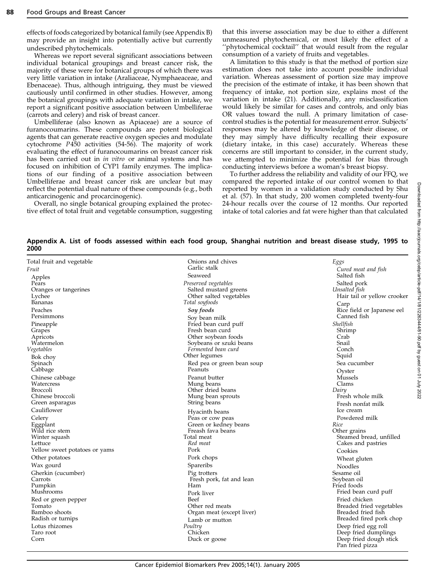effects of foods categorized by botanical family (see Appendix B) may provide an insight into potentially active but currently undescribed phytochemicals.

Whereas we report several significant associations between individual botanical groupings and breast cancer risk, the majority of these were for botanical groups of which there was very little variation in intake (Araliaceae, Nymphaeaceae, and Ebenaceae). Thus, although intriguing, they must be viewed cautiously until confirmed in other studies. However, among the botanical groupings with adequate variation in intake, we report a significant positive association between Umbelliferae (carrots and celery) and risk of breast cancer.

Umbelliferae (also known as Apiaceae) are a source of furanocoumarins. These compounds are potent biological agents that can generate reactive oxygen species and modulate cytochrome P450 activities (54-56). The majority of work evaluating the effect of furanocoumarins on breast cancer risk has been carried out in in vitro or animal systems and has focused on inhibition of CYP1 family enzymes. The implications of our finding of a positive association between Umbelliferae and breast cancer risk are unclear but may reflect the potential dual nature of these compounds (e.g., both anticarcinogenic and procarcinogenic).

Overall, no single botanical grouping explained the protective effect of total fruit and vegetable consumption, suggesting that this inverse association may be due to either a different unmeasured phytochemical, or most likely the effect of a "phytochemical cocktail" that would result from the regular consumption of a variety of fruits and vegetables.

A limitation to this study is that the method of portion size estimation does not take into account possible individual variation. Whereas assessment of portion size may improve the precision of the estimate of intake, it has been shown that frequency of intake, not portion size, explains most of the variation in intake (21). Additionally, any misclassification would likely be similar for cases and controls, and only bias OR values toward the null. A primary limitation of casecontrol studies is the potential for measurement error. Subjects' responses may be altered by knowledge of their disease, or they may simply have difficulty recalling their exposure (dietary intake, in this case) accurately. Whereas these concerns are still important to consider, in the current study, we attempted to minimize the potential for bias through conducting interviews before a woman's breast biopsy.

To further address the reliability and validity of our FFQ, we compared the reported intake of our control women to that reported by women in a validation study conducted by Shu et al. (57). In that study, 200 women completed twenty-four 24-hour recalls over the course of 12 months. Our reported intake of total calories and fat were higher than that calculated

Appendix A. List of foods assessed within each food group, Shanghai nutrition and breast disease study, 1995 to 2000

| Total fruit and vegetable           | Onions and chives                       | Eggs                                      |
|-------------------------------------|-----------------------------------------|-------------------------------------------|
| Fruit                               | Garlic stalk                            | Cured meat and fish                       |
| Apples                              | Seaweed                                 | Salted fish                               |
| Pears                               | Preserved vegetables                    | Salted pork                               |
| Oranges or tangerines               | Salted mustard greens                   | Unsalted fish                             |
| Lychee                              | Other salted vegetables                 | Hair tail or yellow crooker               |
| Bananas                             | Total soyfoods                          | Carp                                      |
| Peaches<br>Persimmons               | Soy foods                               | Rice field or Japanese eel<br>Canned fish |
|                                     | Soy bean milk                           | Shellfish                                 |
| Pineapple<br>Grapes                 | Fried bean curd puff<br>Fresh bean curd | Shrimp                                    |
| Apricots                            | Other soybean foods                     | Crab                                      |
| Watermelon                          | Soybeans or szuki beans                 | Snail                                     |
| Vegetables                          | Fermented bean curd                     | Conch                                     |
| Bok choy                            | Other legumes                           | Squid                                     |
| Spinach                             | Red pea or green bean soup              | Sea cucumber                              |
| Cabbage                             | Peanuts                                 | Oyster                                    |
| Chinese cabbage                     | Peanut butter                           | Mussels                                   |
| Watercress                          | Mung beans                              | Clams                                     |
| <b>Broccoli</b><br>Chinese broccoli | Other dried beans<br>Mung bean sprouts  | Dairy<br>Fresh whole milk                 |
| Green asparagus                     | String beans                            | Fresh nonfat milk                         |
| Cauliflower                         |                                         | Ice cream                                 |
| Celery                              | Hyacinth beans<br>Peas or cow peas      | Powdered milk                             |
| Eggplant                            | Green or kedney beans                   | Rice                                      |
| Wild rice stem                      | Freash fava beans                       | Other grains                              |
| Winter squash                       | Total meat                              | Steamed bread, unfilled                   |
| Lettuce                             | Red meat                                | Cakes and pastries                        |
| Yellow sweet potatoes or yams       | Pork                                    | Cookies                                   |
| Other potatoes                      | Pork chops                              | Wheat gluten                              |
| Wax gourd                           | Spareribs                               | <b>Noodles</b>                            |
| Gherkin (cucumber)                  | Pig trotters                            | Sesame oil                                |
| Carrots                             | Fresh pork, fat and lean                | Soybean oil                               |
| Pumpkin<br>Mushrooms                | Ham                                     | Fried foods<br>Fried bean curd puff       |
|                                     | Pork liver<br>Beef                      | Fried chicken                             |
| Red or green pepper<br>Tomato       | Other red meats                         | Breaded fried vegetables                  |
| Bamboo shoots                       | Organ meat (except liver)               | Breaded fried fish                        |
| Radish or turnips                   | Lamb or mutton                          | Breaded fired pork chop                   |
| Lotus rhizomes                      | Poultry                                 | Deep fried egg roll                       |
| Taro root                           | Chicken                                 | Deep fried dumplings                      |
| Corn                                | Duck or goose                           | Deep fried dough stick<br>Pan fried pizza |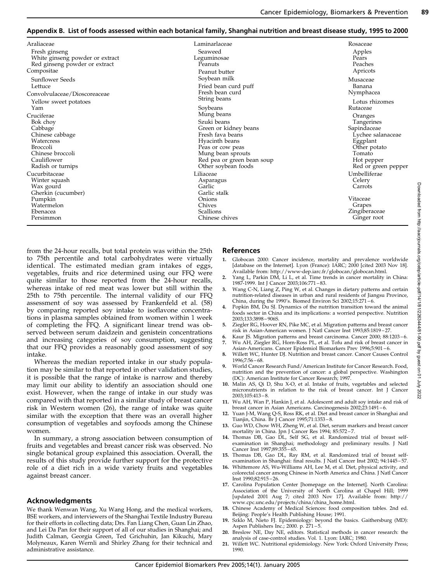### Appendix B. List of foods assessed within each botanical family, Shanghai nutrition and breast disease study, 1995 to 2000

| Araliaceae                      | Laminarlaceae                      | Rosaceae                     |
|---------------------------------|------------------------------------|------------------------------|
| Fresh ginseng                   | Seaweed                            | Apples                       |
| White ginseng powder or extract | Leguminosae                        | Pears                        |
| Red ginseng powder or extract   | Peanuts                            | Peaches                      |
| Compositae                      | Peanut butter                      | Apricots                     |
| Sunflower Seeds                 | Soybean milk                       | Musaceae                     |
| Lettuce                         | Fried bean curd puff               | Banana                       |
| Convolvulaceae/Dioscoreaceae    | Fresh bean curd                    | Nymphacea                    |
| Yellow sweet potatoes           | String beans                       | Lotus rhizomes               |
| Yam                             | Soybeans                           | Rutaceae                     |
| Cruciferae                      | Mung beans                         | Oranges                      |
| Bok chov                        | Szuki beans                        | Tangerines                   |
| Cabbage                         | Green or kidney beans              | Sapindaceae                  |
| Chinese cabbage                 | Fresh fava beans                   | Lychee salanaceae            |
| Watercress                      | Hyacinth beans                     | Eggplant                     |
| <b>Broccoli</b>                 | Peas or cow peas                   | Other potato                 |
| Chinese broccoli                | Mung bean sprouts                  | Tomato                       |
| Cauliflower                     | Red pea or green bean soup         | Hot pepper                   |
| Radish or turnips               | Other soybean foods                | Red or green pepper          |
| Cucurbitaceae                   | Liliaceae                          | Umbelliferae                 |
| Winter squash                   | Asparagus                          | Celery                       |
| Wax gourd                       | Garlic                             | Carrots                      |
| Gherkin (cucumber)              | Garlic stalk                       |                              |
| Pumpkin                         | Onions                             | Vitaceae                     |
| Watermelon                      | Chives                             | Grapes                       |
| Ebenacea<br>Persimmon           | <b>Scallions</b><br>Chinese chives | Zingiberaceae<br>Ginger root |
|                                 |                                    |                              |

from the 24-hour recalls, but total protein was within the 25th to 75th percentile and total carbohydrates were virtually identical. The estimated median gram intakes of eggs, vegetables, fruits and rice determined using our FFQ were quite similar to those reported from the 24-hour recalls, whereas intake of red meat was lower but still within the 25th to 75th percentile. The internal validity of our FFQ assessment of soy was assessed by Frankenfeld et al. (58) by comparing reported soy intake to isoflavone concentrations in plasma samples obtained from women within 1 week of completing the FFQ. A significant linear trend was observed between serum daidzein and genistein concentrations and increasing categories of soy consumption, suggesting that our FFQ provides a reasonably good assessment of soy intake.

Whereas the median reported intake in our study population may be similar to that reported in other validation studies, it is possible that the range of intake is narrow and thereby may limit our ability to identify an association should one exist. However, when the range of intake in our study was compared with that reported in a similar study of breast cancer risk in Western women (26), the range of intake was quite similar with the exception that there was an overall higher consumption of vegetables and soyfoods among the Chinese women.

In summary, a strong association between consumption of fruits and vegetables and breast cancer risk was observed. No single botanical group explained this association. Overall, the results of this study provide further support for the protective role of a diet rich in a wide variety fruits and vegetables against breast cancer.

## Acknowledgments

We thank Wenwan Wang, Xu Wang Hong, and the medical workers, BSE workers, and interviewers of the Shanghai Textile Industry Bureau for their efforts in collecting data; Drs. Fan Liang Chen, Guan Lin Zhao, and Lei Da Pan for their support of all of our studies in Shanghai; and Judith Calman, Georgia Green, Ted Grichuhin, Jan Kikuchi, Mary Molyneaux, Karen Wernli and Shirley Zhang for their technical and administrative assistance.

# References

- 1. Globocan 2000: Cancer incidence, mortality and prevalence worldwide [database on the Internet]. Lyon (France): IARC; 2000 [cited 2003 Nov 18]. Available from: http://www-dep.iarc.fr/globocan/globocan.html.
- Yang L, Parkin DM, Li L, et al. Time trends in cancer mortality in China: 1987-1999. Int J Cancer 2003;106:771 – 83.
- 3. Wang C-N, Liang Z, Ping W, et al. Changes in dietary patterns and certain nutrition-related diseases in urban and rural residents of Jiangsu Province, China, during the 1990's. Biomed Environ Sci 2002;15:271 – 6.
- 4. Popkin BM, Du SJ. Dynamics of the nutrition transition toward the animal foods sector in China and its implications: a worried perspective. Nutrition 2003;133:3898 – 906S.
- 5. Ziegler RG, Hoover RN, Pike MC, et al. Migration patterns and breast cancer risk in Asian-American women. J Natl Cancer Inst 1993;85:1819 – 27.
- Kaur JS. Migration patterns and breast carcinoma. Cancer 2000; 88:1203-6. 7. Wu AH, Ziegler RG, Horn-Ross PL, et al. Tofu and risk of breast cancer in
- Asian-Americans. Cancer Epidemiol Biomarkers Prev 1996;5:901 6.
- Willett WC, Hunter DJ. Nutrition and breast cancer. Cancer Causes Control 1996;7:56 – 68.
- 9. World Cancer Research Fund/American Institute for Cancer Research. Food, nutrition and the prevention of cancer: a global perspective. Washington (DC): American Institute for Cancer Research; 1997.
- 10. Malin AS, Qi D, Shu X-O, et al. Intake of fruits, vegetables and selected micronutrients in relation to the risk of breast cancer. Int J Cancer  $2003:105:413 - 8$
- 11. Wu AH, Wan P, Hankin J, et al. Adolescent and adult soy intake and risk of breast cancer in Asian Americans. Carcinogenesis 2002;23:1491 – 6.
- 12. Yuan J-M, Wang Q-S, Ross RK, et al. Diet and breast cancer in Shanghai and Tianjin, China. Br J Cancer 1995;71:1353 – 8.
- 13. Guo WD, Chow WH, Zheng W, et al. Diet, serum markers and breast cancer mortality in China. Jpn J Cancer Res 1994; 85:572 – 7.
- 14. Thomas DB, Gao DL, Self SG, et al. Randomized trial of breast selfexamination in Shanghai; methodology and preliminary results. J Natl Cancer Inst 1997;89:355 – 65.
- 15. Thomas DB, Gao DL, Ray RM, et al. Randomized trial of breast selfexamination in Shanghai: final results. J Natl Cancer Inst 2002; 94:1445 – 57.
- 16. Whittemore AS, Wu-Williams AH, Lee M, et al. Diet, physical activity, and colorectal cancer among Chinese in North America and China. J Natl Cancer Inst 1990;82:915 – 26.
- 17. Carolina Population Center [homepage on the Internet]. North Carolina: Association of the University of North Carolina at Chapel Hill; 1999 [updated 2001 Aug 7; cited 2003 Nov 17]. Available from: http:// www.cpc.unc.edu/projects/china/china\_home.html.
- 18. Chinese Academy of Medical Sciences: food composition tables. 2nd ed. Beijing: People's Health Publishing House; 1991.
- 19. Szklo M, Nieto FJ. Epidemiology: beyond the basics. Gaithersburg (MD): Aspen Publishers Inc.; 2000. p. 271 5.
- 20. Breslow NE, Day NE, editors. Statistical methods in cancer research: the analysis of case-control studies. Vol. 1. Lyon: IARC; 1980.
- 21. Willett WC. Nutritional epidemiology. New York: Oxford University Press; 1990.